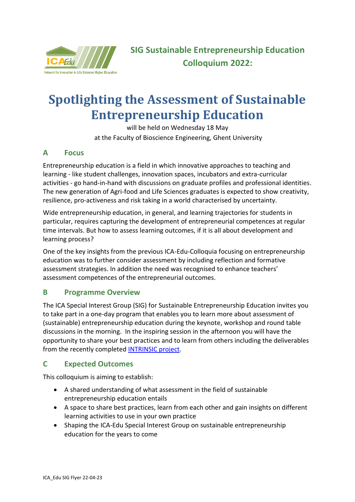

# **Spotlighting the Assessment of Sustainable Entrepreneurship Education**

will be held on Wednesday 18 May at the Faculty of Bioscience Engineering, Ghent University

## **A Focus**

Entrepreneurship education is a field in which innovative approaches to teaching and learning - like student challenges, innovation spaces, incubators and extra-curricular activities - go hand-in-hand with discussions on graduate profiles and professional identities. The new generation of Agri-food and Life Sciences graduates is expected to show creativity, resilience, pro-activeness and risk taking in a world characterised by uncertainty.

Wide entrepreneurship education, in general, and learning trajectories for students in particular, requires capturing the development of entrepreneurial competences at regular time intervals. But how to assess learning outcomes, if it is all about development and learning process?

One of the key insights from the previous ICA-Edu-Colloquia focusing on entrepreneurship education was to further consider assessment by including reflection and formative assessment strategies. In addition the need was recognised to enhance teachers' assessment competences of the entrepreneurial outcomes.

## **B Programme Overview**

The ICA Special Interest Group (SIG) for Sustainable Entrepreneurship Education invites you to take part in a one-day program that enables you to learn more about assessment of (sustainable) entrepreneurship education during the keynote, workshop and round table discussions in the morning. In the inspiring session in the afternoon you will have the opportunity to share your best practices and to learn from others including the deliverables from the recently completed [INTRINSIC project.](https://intrinsic.eu/)

## **C Expected Outcomes**

This colloquium is aiming to establish:

- A shared understanding of what assessment in the field of sustainable entrepreneurship education entails
- A space to share best practices, learn from each other and gain insights on different learning activities to use in your own practice
- Shaping the ICA-Edu Special Interest Group on sustainable entrepreneurship education for the years to come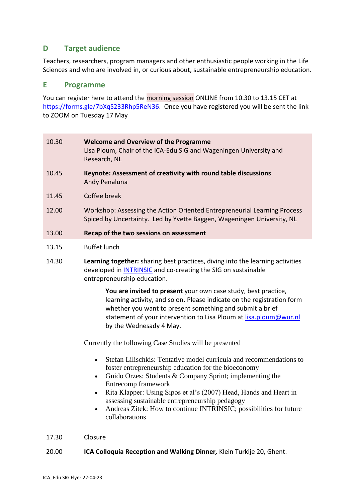## **D Target audience**

Teachers, researchers, program managers and other enthusiastic people working in the Life Sciences and who are involved in, or curious about, sustainable entrepreneurship education.

#### **E Programme**

You can register here to attend the morning session ONLINE from 10.30 to 13.15 CET a[t](https://forms.gle/7bXqS233Rhp5ReN36) [https://forms.gle/7bXqS233Rhp5ReN36.](https://forms.gle/7bXqS233Rhp5ReN36) Once you have registered you will be sent the link to ZOOM on Tuesday 17 May

| 10.30 | <b>Welcome and Overview of the Programme</b><br>Lisa Ploum, Chair of the ICA-Edu SIG and Wageningen University and<br>Research, NL |
|-------|------------------------------------------------------------------------------------------------------------------------------------|
| 10.45 | Keynote: Assessment of creativity with round table discussions<br>Andy Penaluna                                                    |
| 11.45 | Coffee break                                                                                                                       |
|       |                                                                                                                                    |

- 12.00 Workshop: Assessing the Action Oriented Entrepreneurial Learning Process Spiced by Uncertainty. Led by Yvette Baggen, Wageningen University, NL
- 13.00 **Recap of the two sessions on assessment**
- 13.15 Buffet lunch
- 14.30 **Learning together:** sharing best practices, diving into the learning activities developed in [INTRINSIC](https://intrinsic.eu/) and co-creating the SIG on sustainable entrepreneurship education.

**You are invited to present** your own case study, best practice, learning activity, and so on. Please indicate on the registration form whether you want to present something and submit a brief statement of your intervention to Lisa Ploum at lisa.ploum@wur.nl by the Wednesady 4 May.

Currently the following Case Studies will be presented

- Stefan Lilischkis: Tentative model curricula and recommendations to foster entrepreneurship education for the bioeconomy
- Guido Orzes: Students & Company Sprint; implementing the Entrecomp framework
- Rita Klapper: Using Sipos et al's (2007) Head, Hands and Heart in assessing sustainable entrepreneurship pedagogy
- Andreas Zitek: How to continue INTRINSIC; possibilities for future collaborations
- 17.30 Closure

#### 20.00 **ICA Colloquia Reception and Walking Dinner***,* Klein Turkije 20, Ghent.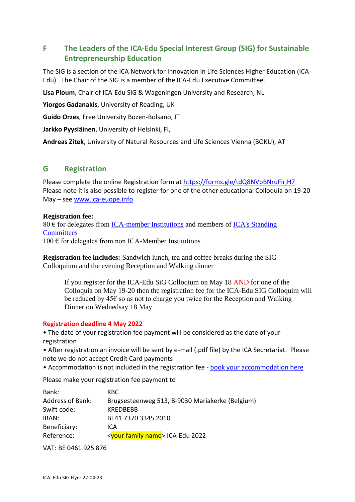# **F The Leaders of the ICA-Edu Special Interest Group (SIG) for Sustainable Entrepreneurship Education**

The SIG is a section of the ICA Network for Innovation in Life Sciences Higher Education (ICA-Edu). The Chair of the SIG is a member of the ICA-Edu Executive Committee.

**Lisa Ploum**, Chair of ICA-Edu SIG & Wageningen University and Research, NL

**Yiorgos Gadanakis**, University of Reading, UK

**Guido Orzes**, Free University Bozen-Bolsano, IT

**Jarkko Pyysiäinen**, University of Helsinki, FI,

**Andreas Zitek**, University of Natural Resources and Life Sciences Vienna (BOKU), AT

## **G Registration**

Please complete the online [Registration form](https://goo.gl/forms/d4BjZlCbkPUQiOUY2) at<https://forms.gle/tdQ8NVbBNruFirjH7> Please note it is also possible to register for one of the other educational Colloquia on 19-20 May – see [www.ica-euope.info](http://www.ica-euope.info/)

#### **Registration fee:**

 $80 \text{ }\epsilon$  for delegates from [ICA-member Institutions](file:///C:/Users/Utilisateur/Documents/Simon/ica/ICA%20Standing%20Committees/ICA-Edu%20Network/ICA-Edu%202022%20Colloquium/Programme%20planning%20ICA-Edu%20SIG/index.php%3foption=com_content&view=article&id=169:ica-member-institutions&catid=115:organisation&Itemid=212) and members of ICA's Standing **[Committees](file:///C:/Users/Utilisateur/Documents/Simon/ica/ICA%20Standing%20Committees/ICA-Edu%20Network/ICA-Edu%202022%20Colloquium/Programme%20planning%20ICA-Edu%20SIG/index.php%3foption=com_content&view=article&id=143:ica-standing-committees&catid=35:standing-committees)**  $100 \text{ }\epsilon$  for delegates from non ICA-Member Institutions

**Registration fee includes:** Sandwich lunch, tea and coffee breaks during the SIG Colloquium and the evening Reception and Walking dinner

If you register for the ICA-Edu SiG Colloqium on May 18 AND for one of the Colloquia on May 19-20 then the registration fee for the ICA-Edu SIG Colloquim will be reduced by  $45\epsilon$  so as not to charge you twice for the Reception and Walking Dinner on Wednedsay 18 May

#### **Registration deadline 4 May 2022**

• The date of your registration fee payment will be considered as the date of your registration

• After registration an invoice will be sent by e-mail (.pdf file) by the ICA Secretariat. Please note we do not accept Credit Card payments

• Accommodation is not included in the registration fee - [book your accommodation here](https://www.ica-europe.info/select-your-hotel)

Please make your registration fee payment to

| Bank:                   | KBC.                                            |
|-------------------------|-------------------------------------------------|
| <b>Address of Bank:</b> | Brugsesteenweg 513, B-9030 Mariakerke (Belgium) |
| Swift code:             | <b>KREDBEBB</b>                                 |
| IBAN:                   | BE41 7370 3345 2010                             |
| Beneficiary:            | ICA                                             |
| Reference:              | <your family="" name=""> ICA-Edu 2022</your>    |
|                         |                                                 |

VAT: BE 0461 925 876